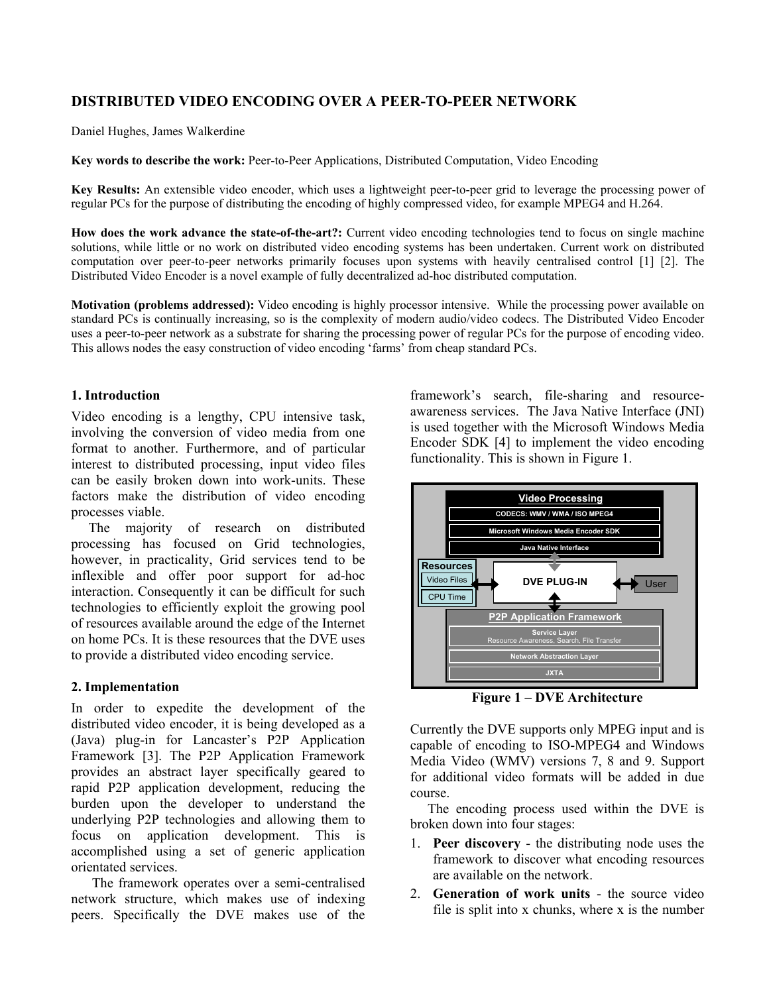# **DISTRIBUTED VIDEO ENCODING OVER A PEER-TO-PEER NETWORK**

Daniel Hughes, James Walkerdine

**Key words to describe the work:** Peer-to-Peer Applications, Distributed Computation, Video Encoding

**Key Results:** An extensible video encoder, which uses a lightweight peer-to-peer grid to leverage the processing power of regular PCs for the purpose of distributing the encoding of highly compressed video, for example MPEG4 and H.264.

**How does the work advance the state-of-the-art?:** Current video encoding technologies tend to focus on single machine solutions, while little or no work on distributed video encoding systems has been undertaken. Current work on distributed computation over peer-to-peer networks primarily focuses upon systems with heavily centralised control [1] [2]. The Distributed Video Encoder is a novel example of fully decentralized ad-hoc distributed computation.

**Motivation (problems addressed):** Video encoding is highly processor intensive. While the processing power available on standard PCs is continually increasing, so is the complexity of modern audio/video codecs. The Distributed Video Encoder uses a peer-to-peer network as a substrate for sharing the processing power of regular PCs for the purpose of encoding video. This allows nodes the easy construction of video encoding 'farms' from cheap standard PCs.

## **1. Introduction**

Video encoding is a lengthy, CPU intensive task, involving the conversion of video media from one format to another. Furthermore, and of particular interest to distributed processing, input video files can be easily broken down into work-units. These factors make the distribution of video encoding processes viable.

 The majority of research on distributed processing has focused on Grid technologies, however, in practicality, Grid services tend to be inflexible and offer poor support for ad-hoc interaction. Consequently it can be difficult for such technologies to efficiently exploit the growing pool of resources available around the edge of the Internet on home PCs. It is these resources that the DVE uses to provide a distributed video encoding service.

# **2. Implementation**

In order to expedite the development of the distributed video encoder, it is being developed as a (Java) plug-in for Lancaster's P2P Application Framework [3]. The P2P Application Framework provides an abstract layer specifically geared to rapid P2P application development, reducing the burden upon the developer to understand the underlying P2P technologies and allowing them to focus on application development. This is accomplished using a set of generic application orientated services.

 The framework operates over a semi-centralised network structure, which makes use of indexing peers. Specifically the DVE makes use of the

framework's search, file-sharing and resourceawareness services. The Java Native Interface (JNI) is used together with the Microsoft Windows Media Encoder SDK [4] to implement the video encoding functionality. This is shown in Figure 1.



**Figure 1 – DVE Architecture** 

Currently the DVE supports only MPEG input and is capable of encoding to ISO-MPEG4 and Windows Media Video (WMV) versions 7, 8 and 9. Support for additional video formats will be added in due course.

 The encoding process used within the DVE is broken down into four stages:

- 1. **Peer discovery** the distributing node uses the framework to discover what encoding resources are available on the network.
- 2. **Generation of work units** the source video file is split into x chunks, where x is the number